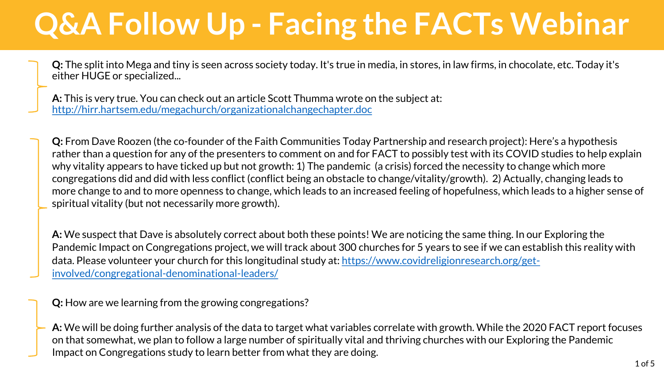**Q:** The split into Mega and tiny is seen across society today. It's true in media, in stores, in law firms, in chocolate, etc. Today it's either HUGE or specialized...

**A:** This is very true. You can check out an article Scott Thumma wrote on the subject at: <http://hirr.hartsem.edu/megachurch/organizationalchangechapter.doc>

**Q:** From Dave Roozen (the co-founder of the Faith Communities Today Partnership and research project): Here's a hypothesis rather than a question for any of the presenters to comment on and for FACT to possibly test with its COVID studies to help explain why vitality appears to have ticked up but not growth: 1) The pandemic (a crisis) forced the necessity to change which more congregations did and did with less conflict (conflict being an obstacle to change/vitality/growth). 2) Actually, changing leads to more change to and to more openness to change, which leads to an increased feeling of hopefulness, which leads to a higher sense of spiritual vitality (but not necessarily more growth).

**A:** We suspect that Dave is absolutely correct about both these points! We are noticing the same thing. In our Exploring the Pandemic Impact on Congregations project, we will track about 300 churches for 5 years to see if we can establish this reality with [data. Please volunteer your church for this longitudinal study at: https://www.covidreligionresearch.org/get](https://www.covidreligionresearch.org/get-involved/congregational-denominational-leaders/)involved/congregational-denominational-leaders/

**Q:** How are we learning from the growing congregations?

**A:** We will be doing further analysis of the data to target what variables correlate with growth. While the 2020 FACT report focuses on that somewhat, we plan to follow a large number of spiritually vital and thriving churches with our Exploring the Pandemic Impact on Congregations study to learn better from what they are doing.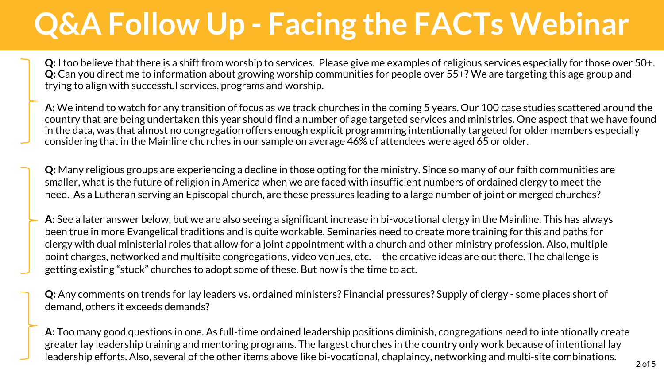**Q:** I too believe that there is a shift from worship to services. Please give me examples of religious services especially for those over 50+. **Q:** Can you direct me to information about growing worship communities for people over 55+? We are targeting this age group and trying to align with successful services, programs and worship.

**A:** We intend to watch for any transition of focus as we track churches in the coming 5 years. Our 100 case studies scattered around the country that are being undertaken this year should find a number of age targeted services and ministries. One aspect that we have found in the data, was that almost no congregation offers enough explicit programming intentionally targeted for older members especially considering that in the Mainline churches in our sample on average 46% of attendees were aged 65 or older.

**Q:** Many religious groups are experiencing a decline in those opting for the ministry. Since so many of our faith communities are smaller, what is the future of religion in America when we are faced with insufficient numbers of ordained clergy to meet the need. As a Lutheran serving an Episcopal church, are these pressures leading to a large number of joint or merged churches?

**A:** See a later answer below, but we are also seeing a significant increase in bi-vocational clergy in the Mainline. This has always been true in more Evangelical traditions and is quite workable. Seminaries need to create more training for this and paths for clergy with dual ministerial roles that allow for a joint appointment with a church and other ministry profession. Also, multiple point charges, networked and multisite congregations, video venues, etc. -- the creative ideas are out there. The challenge is getting existing "stuck" churches to adopt some of these. But now is the time to act.

**Q:** Any comments on trends for lay leaders vs. ordained ministers? Financial pressures? Supply of clergy - some places short of demand, others it exceeds demands?

**A:** Too many good questions in one. As full-time ordained leadership positions diminish, congregations need to intentionally create greater lay leadership training and mentoring programs. The largest churches in the country only work because of intentional lay leadership efforts. Also, several of the other items above like bi-vocational, chaplaincy, networking and multi-site combinations.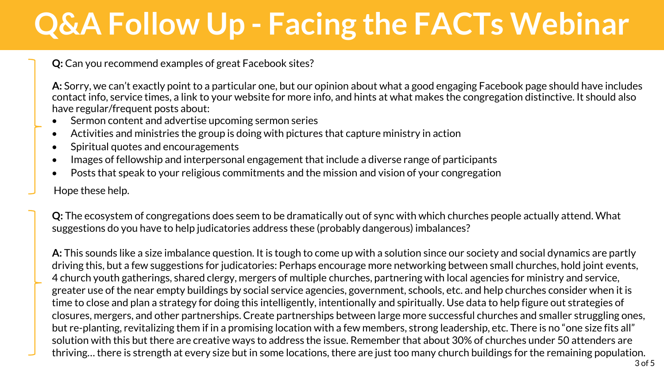**Q:** Can you recommend examples of great Facebook sites?

**A:** Sorry, we can't exactly point to a particular one, but our opinion about what a good engaging Facebook page should have includes contact info, service times, a link to your website for more info, and hints at what makes the congregation distinctive. It should also have regular/frequent posts about:

- Sermon content and advertise upcoming sermon series
- Activities and ministries the group is doing with pictures that capture ministry in action
- Spiritual quotes and encouragements
- Images of fellowship and interpersonal engagement that include a diverse range of participants
- Posts that speak to your religious commitments and the mission and vision of your congregation
- Hope these help.

**Q:** The ecosystem of congregations does seem to be dramatically out of sync with which churches people actually attend. What suggestions do you have to help judicatories address these (probably dangerous) imbalances?

**A:** This sounds like a size imbalance question. It is tough to come up with a solution since our society and social dynamics are partly driving this, but a few suggestions for judicatories: Perhaps encourage more networking between small churches, hold joint events, 4 church youth gatherings, shared clergy, mergers of multiple churches, partnering with local agencies for ministry and service, greater use of the near empty buildings by social service agencies, government, schools, etc. and help churches consider when it is time to close and plan a strategy for doing this intelligently, intentionally and spiritually. Use data to help figure out strategies of closures, mergers, and other partnerships. Create partnerships between large more successful churches and smaller struggling ones, but re-planting, revitalizing them if in a promising location with a few members, strong leadership, etc. There is no "one size fits all" solution with this but there are creative ways to address the issue. Remember that about 30% of churches under 50 attenders are thriving… there is strength at every size but in some locations, there are just too many church buildings for the remaining population.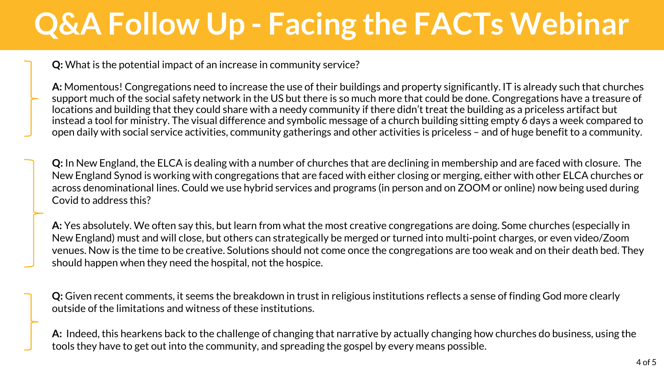**Q:** What is the potential impact of an increase in community service?

**A:** Momentous! Congregations need to increase the use of their buildings and property significantly. IT is already such that churches support much of the social safety network in the US but there is so much more that could be done. Congregations have a treasure of locations and building that they could share with a needy community if there didn't treat the building as a priceless artifact but instead a tool for ministry. The visual difference and symbolic message of a church building sitting empty 6 days a week compared to open daily with social service activities, community gatherings and other activities is priceless – and of huge benefit to a community.

**Q:** In New England, the ELCA is dealing with a number of churches that are declining in membership and are faced with closure. The New England Synod is working with congregations that are faced with either closing or merging, either with other ELCA churches or across denominational lines. Could we use hybrid services and programs (in person and on ZOOM or online) now being used during Covid to address this?

**A:** Yes absolutely. We often say this, but learn from what the most creative congregations are doing. Some churches (especially in New England) must and will close, but others can strategically be merged or turned into multi-point charges, or even video/Zoom venues. Now is the time to be creative. Solutions should not come once the congregations are too weak and on their death bed. They should happen when they need the hospital, not the hospice.

**Q:** Given recent comments, it seems the breakdown in trust in religious institutions reflects a sense of finding God more clearly outside of the limitations and witness of these institutions.

**A:** Indeed, this hearkens back to the challenge of changing that narrative by actually changing how churches do business, using the tools they have to get out into the community, and spreading the gospel by every means possible.